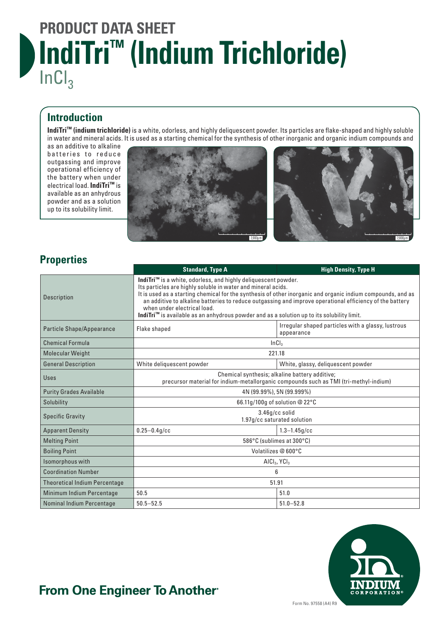# **PRODUCT DATA SHEET IndiTri™ (Indium Trichloride)**  $InCl<sub>3</sub>$

#### **Introduction**

**IndiTri™ (indium trichloride)** is a white, odorless, and highly deliquescent powder. Its particles are flake-shaped and highly soluble in water and mineral acids. It is used as a starting chemical for the synthesis of other inorganic and organic indium compounds and

as an additive to alkaline batteries to reduce outgassing and improve operational efficiency of the battery when under electrical load. **IndiTri™** is available as an anhydrous powder and as a solution up to its solubility limit.





### **Properties**

|                                      | <b>Standard, Type A</b>                                                                                                                                                                                                                                                                                                                                                                                                                                                                            | <b>High Density, Type H</b>                                      |
|--------------------------------------|----------------------------------------------------------------------------------------------------------------------------------------------------------------------------------------------------------------------------------------------------------------------------------------------------------------------------------------------------------------------------------------------------------------------------------------------------------------------------------------------------|------------------------------------------------------------------|
| <b>Description</b>                   | IndiTri <sup>™</sup> is a white, odorless, and highly deliquescent powder.<br>Its particles are highly soluble in water and mineral acids.<br>It is used as a starting chemical for the synthesis of other inorganic and organic indium compounds, and as<br>an additive to alkaline batteries to reduce outgassing and improve operational efficiency of the battery<br>when under electrical load.<br>IndiTri™ is available as an anhydrous powder and as a solution up to its solubility limit. |                                                                  |
| Particle Shape/Appearance            | Flake shaped                                                                                                                                                                                                                                                                                                                                                                                                                                                                                       | Irregular shaped particles with a glassy, lustrous<br>appearance |
| <b>Chemical Formula</b>              | InCl <sub>3</sub>                                                                                                                                                                                                                                                                                                                                                                                                                                                                                  |                                                                  |
| <b>Molecular Weight</b>              | 221.18                                                                                                                                                                                                                                                                                                                                                                                                                                                                                             |                                                                  |
| <b>General Description</b>           | White deliquescent powder                                                                                                                                                                                                                                                                                                                                                                                                                                                                          | White, glassy, deliguescent powder                               |
| <b>Uses</b>                          | Chemical synthesis; alkaline battery additive;<br>precursor material for indium-metallorganic compounds such as TMI (tri-methyl-indium)                                                                                                                                                                                                                                                                                                                                                            |                                                                  |
| <b>Purity Grades Available</b>       | 4N (99.99%), 5N (99.999%)                                                                                                                                                                                                                                                                                                                                                                                                                                                                          |                                                                  |
| Solubility                           | 66.11g/100g of solution @ 22°C                                                                                                                                                                                                                                                                                                                                                                                                                                                                     |                                                                  |
| <b>Specific Gravity</b>              | 3.46g/cc solid<br>1.97g/cc saturated solution                                                                                                                                                                                                                                                                                                                                                                                                                                                      |                                                                  |
| <b>Apparent Density</b>              | $0.25 - 0.4q$ /cc                                                                                                                                                                                                                                                                                                                                                                                                                                                                                  | $1.3 - 1.45a/cc$                                                 |
| <b>Melting Point</b>                 | 586°C (sublimes at 300°C)                                                                                                                                                                                                                                                                                                                                                                                                                                                                          |                                                                  |
| <b>Boiling Point</b>                 | Volatilizes @ 600°C                                                                                                                                                                                                                                                                                                                                                                                                                                                                                |                                                                  |
| Isomorphous with                     | AICI <sub>3</sub> , YCI <sub>3</sub>                                                                                                                                                                                                                                                                                                                                                                                                                                                               |                                                                  |
| <b>Coordination Number</b>           | $6\overline{6}$                                                                                                                                                                                                                                                                                                                                                                                                                                                                                    |                                                                  |
| <b>Theoretical Indium Percentage</b> | 51.91                                                                                                                                                                                                                                                                                                                                                                                                                                                                                              |                                                                  |
| Minimum Indium Percentage            | 50.5                                                                                                                                                                                                                                                                                                                                                                                                                                                                                               | 51.0                                                             |
| Nominal Indium Percentage            | $50.5 - 52.5$                                                                                                                                                                                                                                                                                                                                                                                                                                                                                      | $51.0 - 52.8$                                                    |



### From One Engineer To Another